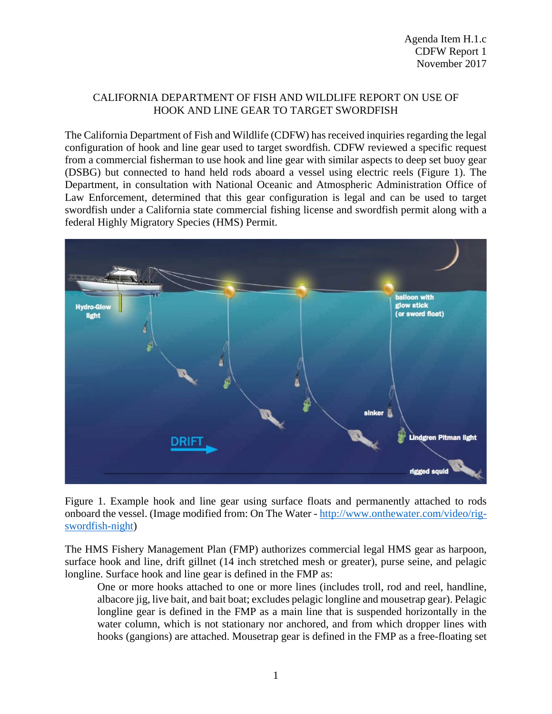## CALIFORNIA DEPARTMENT OF FISH AND WILDLIFE REPORT ON USE OF HOOK AND LINE GEAR TO TARGET SWORDFISH

The California Department of Fish and Wildlife (CDFW) has received inquiries regarding the legal configuration of hook and line gear used to target swordfish. CDFW reviewed a specific request from a commercial fisherman to use hook and line gear with similar aspects to deep set buoy gear (DSBG) but connected to hand held rods aboard a vessel using electric reels (Figure 1). The Department, in consultation with National Oceanic and Atmospheric Administration Office of Law Enforcement, determined that this gear configuration is legal and can be used to target swordfish under a California state commercial fishing license and swordfish permit along with a federal Highly Migratory Species (HMS) Permit.



Figure 1. Example hook and line gear using surface floats and permanently attached to rods onboard the vessel. (Image modified from: On The Water - [http://www.onthewater.com/video/rig](http://www.onthewater.com/video/rig-swordfish-night)[swordfish-night\)](http://www.onthewater.com/video/rig-swordfish-night)

The HMS Fishery Management Plan (FMP) authorizes commercial legal HMS gear as harpoon, surface hook and line, drift gillnet (14 inch stretched mesh or greater), purse seine, and pelagic longline. Surface hook and line gear is defined in the FMP as:

One or more hooks attached to one or more lines (includes troll, rod and reel, handline, albacore jig, live bait, and bait boat; excludes pelagic longline and mousetrap gear). Pelagic longline gear is defined in the FMP as a main line that is suspended horizontally in the water column, which is not stationary nor anchored, and from which dropper lines with hooks (gangions) are attached. Mousetrap gear is defined in the FMP as a free-floating set